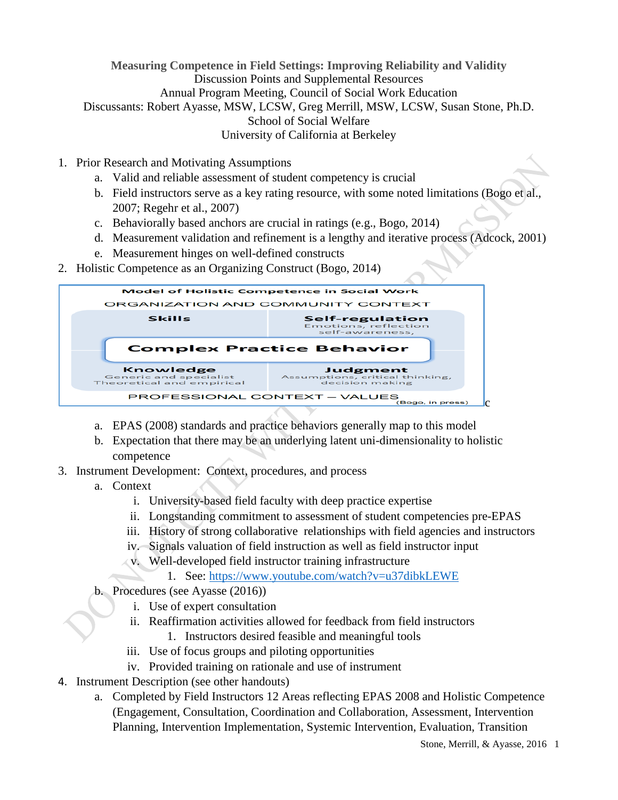**Measuring Competence in Field Settings: Improving Reliability and Validity** Discussion Points and Supplemental Resources Annual Program Meeting, Council of Social Work Education Discussants: Robert Ayasse, MSW, LCSW, Greg Merrill, MSW, LCSW, Susan Stone, Ph.D. School of Social Welfare University of California at Berkeley

- 1. Prior Research and Motivating Assumptions
	- a. Valid and reliable assessment of student competency is crucial
	- b. Field instructors serve as a key rating resource, with some noted limitations (Bogo et al., 2007; Regehr et al., 2007)
	- c. Behaviorally based anchors are crucial in ratings (e.g., Bogo, 2014)
	- d. Measurement validation and refinement is a lengthy and iterative process (Adcock, 2001)
	- e. Measurement hinges on well-defined constructs
- 2. Holistic Competence as an Organizing Construct (Bogo, 2014)

| <b>Model of Holistic Competence in Social Work</b>                      |                                                                   |  |  |  |  |  |
|-------------------------------------------------------------------------|-------------------------------------------------------------------|--|--|--|--|--|
| ORGANIZATION AND COMMUNITY CONTEXT                                      |                                                                   |  |  |  |  |  |
| <b>Skills</b>                                                           | <b>Self-regulation</b><br>Emotions, reflection<br>self-awareness. |  |  |  |  |  |
|                                                                         | <b>Complex Practice Behavior</b>                                  |  |  |  |  |  |
|                                                                         |                                                                   |  |  |  |  |  |
| <b>Knowledge</b><br>Generic and specialist<br>Theoretical and empirical | Judgment<br>Assumptions, critical thinking,<br>decision making    |  |  |  |  |  |

- a. EPAS (2008) standards and practice behaviors generally map to this model
- b. Expectation that there may be an underlying latent uni-dimensionality to holistic competence
- 3. Instrument Development: Context, procedures, and process
	- a. Context
		- i. University-based field faculty with deep practice expertise
		- ii. Longstanding commitment to assessment of student competencies pre-EPAS
		- iii. History of strong collaborative relationships with field agencies and instructors
		- iv. Signals valuation of field instruction as well as field instructor input
		- v. Well-developed field instructor training infrastructure
			- 1. See: https://www.youtube.com/watch?v=u37dibkLEWE
	- b. Procedures (see Ayasse (2016))
		- i. Use of expert consultation
		- ii. Reaffirmation activities allowed for feedback from field instructors
			- 1. Instructors desired feasible and meaningful tools
		- iii. Use of focus groups and piloting opportunities
		- iv. Provided training on rationale and use of instrument
- 4. Instrument Description (see other handouts)
	- a. Completed by Field Instructors 12 Areas reflecting EPAS 2008 and Holistic Competence (Engagement, Consultation, Coordination and Collaboration, Assessment, Intervention Planning, Intervention Implementation, Systemic Intervention, Evaluation, Transition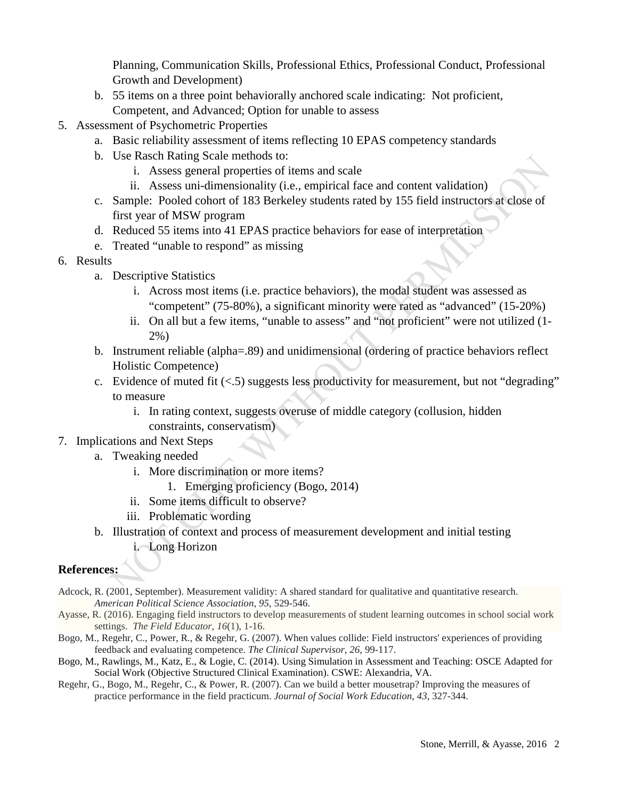Planning, Communication Skills, Professional Ethics, Professional Conduct, Professional Growth and Development)

- b. 55 items on a three point behaviorally anchored scale indicating: Not proficient, Competent, and Advanced; Option for unable to assess
- 5. Assessment of Psychometric Properties
	- a. Basic reliability assessment of items reflecting 10 EPAS competency standards
	- b. Use Rasch Rating Scale methods to:
		- i. Assess general properties of items and scale
		- ii. Assess uni-dimensionality (i.e., empirical face and content validation)
	- c. Sample: Pooled cohort of 183 Berkeley students rated by 155 field instructors at close of first year of MSW program
	- d. Reduced 55 items into 41 EPAS practice behaviors for ease of interpretation
	- e. Treated "unable to respond" as missing
- 6. Results
	- a. Descriptive Statistics
		- i. Across most items (i.e. practice behaviors), the modal student was assessed as "competent" (75-80%), a significant minority were rated as "advanced" (15-20%)
		- ii. On all but a few items, "unable to assess" and "not proficient" were not utilized (1- 2%)
	- b. Instrument reliable (alpha=.89) and unidimensional (ordering of practice behaviors reflect Holistic Competence)
	- c. Evidence of muted fit  $\langle \langle .5 \rangle$  suggests less productivity for measurement, but not "degrading" to measure
		- i. In rating context, suggests overuse of middle category (collusion, hidden constraints, conservatism)

## 7. Implications and Next Steps

- a. Tweaking needed
	- i. More discrimination or more items?
		- 1. Emerging proficiency (Bogo, 2014)
	- ii. Some items difficult to observe?
	- iii. Problematic wording
- b. Illustration of context and process of measurement development and initial testing i. Long Horizon

## **References:**

- Adcock, R. (2001, September). Measurement validity: A shared standard for qualitative and quantitative research. *American Political Science Association*, *95*, 529-546.
- Ayasse, R. (2016). Engaging field instructors to develop [measurements](http://fieldeducator.simmons.edu/article/engaging-field-instructors-to-develop-measurements-of-student-learning-outcomes-in-school-social-work-settings/) of student learning outcomes in school social work [settings.](http://fieldeducator.simmons.edu/article/engaging-field-instructors-to-develop-measurements-of-student-learning-outcomes-in-school-social-work-settings/) *The Field Educator*, *16*(1), 1-16.
- Bogo, M., Regehr, C., Power, R., & Regehr, G. (2007). When values collide: Field instructors' experiences of providing feedback and evaluating competence. *The Clinical Supervisor*, *26*, 99-117.
- Bogo, M., Rawlings, M., Katz, E., & Logie, C. (2014). Using Simulation in Assessment and Teaching: OSCE Adapted for Social Work (Objective Structured Clinical Examination). CSWE: Alexandria, VA.
- Regehr, G., Bogo, M., Regehr, C., & Power, R. (2007). Can we build a better mousetrap? Improving the measures of practice performance in the field practicum. *Journal of Social Work Education*, *43*, 327-344.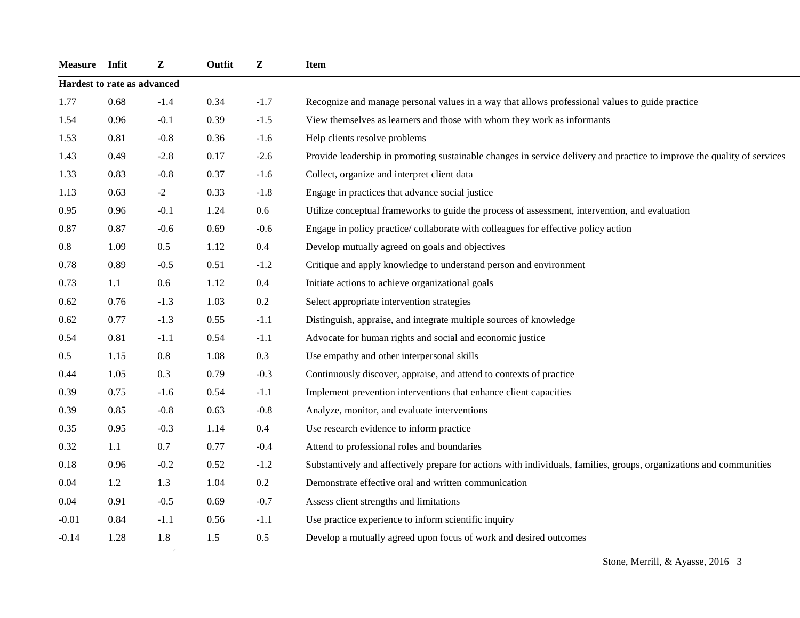| Measure Infit               |      | Z       | Outfit | ${\bf z}$ | Item                                                                                                                    |
|-----------------------------|------|---------|--------|-----------|-------------------------------------------------------------------------------------------------------------------------|
| Hardest to rate as advanced |      |         |        |           |                                                                                                                         |
| 1.77                        | 0.68 | $-1.4$  | 0.34   | $-1.7$    | Recognize and manage personal values in a way that allows professional values to guide practice                         |
| 1.54                        | 0.96 | $-0.1$  | 0.39   | $-1.5$    | View themselves as learners and those with whom they work as informants                                                 |
| 1.53                        | 0.81 | $-0.8$  | 0.36   | $-1.6$    | Help clients resolve problems                                                                                           |
| 1.43                        | 0.49 | $-2.8$  | 0.17   | $-2.6$    | Provide leadership in promoting sustainable changes in service delivery and practice to improve the quality of services |
| 1.33                        | 0.83 | $-0.8$  | 0.37   | $-1.6$    | Collect, organize and interpret client data                                                                             |
| 1.13                        | 0.63 | $-2$    | 0.33   | $-1.8$    | Engage in practices that advance social justice                                                                         |
| 0.95                        | 0.96 | $-0.1$  | 1.24   | 0.6       | Utilize conceptual frameworks to guide the process of assessment, intervention, and evaluation                          |
| 0.87                        | 0.87 | $-0.6$  | 0.69   | $-0.6$    | Engage in policy practice/collaborate with colleagues for effective policy action                                       |
| 0.8                         | 1.09 | $0.5\,$ | 1.12   | $0.4\,$   | Develop mutually agreed on goals and objectives                                                                         |
| 0.78                        | 0.89 | $-0.5$  | 0.51   | $-1.2$    | Critique and apply knowledge to understand person and environment                                                       |
| 0.73                        | 1.1  | 0.6     | 1.12   | 0.4       | Initiate actions to achieve organizational goals                                                                        |
| 0.62                        | 0.76 | $-1.3$  | 1.03   | 0.2       | Select appropriate intervention strategies                                                                              |
| 0.62                        | 0.77 | $-1.3$  | 0.55   | $-1.1$    | Distinguish, appraise, and integrate multiple sources of knowledge                                                      |
| 0.54                        | 0.81 | $-1.1$  | 0.54   | $-1.1$    | Advocate for human rights and social and economic justice                                                               |
| 0.5                         | 1.15 | $0.8\,$ | 1.08   | 0.3       | Use empathy and other interpersonal skills                                                                              |
| 0.44                        | 1.05 | 0.3     | 0.79   | $-0.3$    | Continuously discover, appraise, and attend to contexts of practice                                                     |
| 0.39                        | 0.75 | $-1.6$  | 0.54   | $-1.1$    | Implement prevention interventions that enhance client capacities                                                       |
| 0.39                        | 0.85 | $-0.8$  | 0.63   | $-0.8$    | Analyze, monitor, and evaluate interventions                                                                            |
| 0.35                        | 0.95 | $-0.3$  | 1.14   | 0.4       | Use research evidence to inform practice                                                                                |
| 0.32                        | 1.1  | 0.7     | 0.77   | $-0.4$    | Attend to professional roles and boundaries                                                                             |
| 0.18                        | 0.96 | $-0.2$  | 0.52   | $-1.2$    | Substantively and affectively prepare for actions with individuals, families, groups, organizations and communities     |
| 0.04                        | 1.2  | 1.3     | 1.04   | 0.2       | Demonstrate effective oral and written communication                                                                    |
| 0.04                        | 0.91 | $-0.5$  | 0.69   | $-0.7$    | Assess client strengths and limitations                                                                                 |
| $-0.01$                     | 0.84 | $-1.1$  | 0.56   | $-1.1$    | Use practice experience to inform scientific inquiry                                                                    |
| $-0.14$                     | 1.28 | 1.8     | 1.5    | 0.5       | Develop a mutually agreed upon focus of work and desired outcomes                                                       |